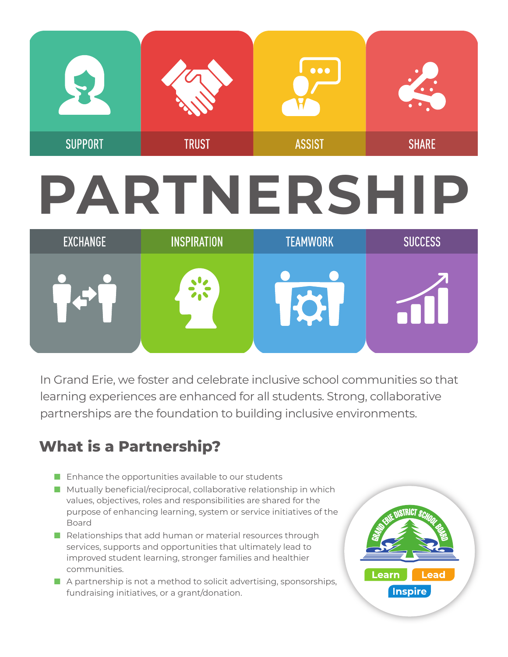

# **PARTNERSHIP**

| EXCHANGE | <b>INSPIRATION</b> | <b>TEAMWORK</b> | <b>SUCCESS</b> |
|----------|--------------------|-----------------|----------------|
|          |                    |                 |                |
|          |                    |                 |                |

In Grand Erie, we foster and celebrate inclusive school communities so that learning experiences are enhanced for all students. Strong, collaborative partnerships are the foundation to building inclusive environments.

## **What is a Partnership?**

- Enhance the opportunities available to our students
- Mutually beneficial/reciprocal, collaborative relationship in which values, objectives, roles and responsibilities are shared for the purpose of enhancing learning, system or service initiatives of the Board
- Relationships that add human or material resources through services, supports and opportunities that ultimately lead to improved student learning, stronger families and healthier communities.
- A partnership is not a method to solicit advertising, sponsorships, fundraising initiatives, or a grant/donation.

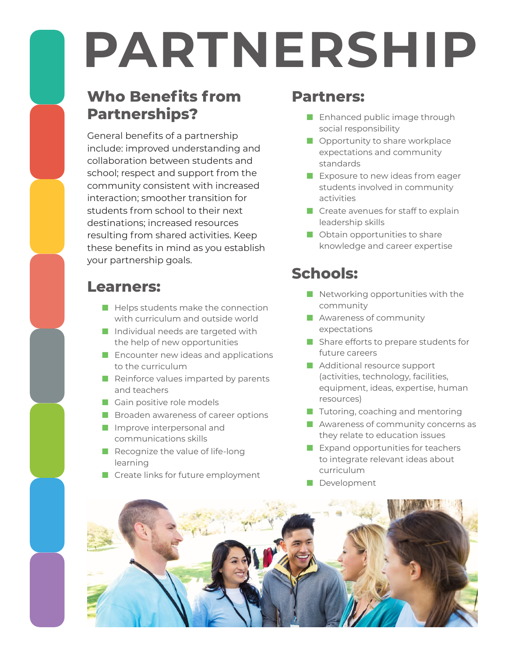# **PARTNERSHIP**

## **Who Benefits from Partnerships?**

General benefits of a partnership include: improved understanding and collaboration between students and school; respect and support from the community consistent with increased interaction; smoother transition for students from school to their next destinations; increased resources resulting from shared activities. Keep these benefits in mind as you establish your partnership goals.

### **Learners:**

- Helps students make the connection with curriculum and outside world
- Individual needs are targeted with the help of new opportunities
- Encounter new ideas and applications to the curriculum
- Reinforce values imparted by parents and teachers
- Gain positive role models
- Broaden awareness of career options
- Improve interpersonal and communications skills
- Recognize the value of life-long learning
- Create links for future employment

### **Partners:**

- Enhanced public image through social responsibility
- Opportunity to share workplace expectations and community standards
- Exposure to new ideas from eager students involved in community activities
- Create avenues for staff to explain leadership skills
- Obtain opportunities to share knowledge and career expertise

## **Schools:**

- Networking opportunities with the community
- Awareness of community expectations
- Share efforts to prepare students for future careers
- Additional resource support (activities, technology, facilities, equipment, ideas, expertise, human resources)
- Tutoring, coaching and mentoring
- Awareness of community concerns as they relate to education issues
- Expand opportunities for teachers to integrate relevant ideas about curriculum
- **Development**

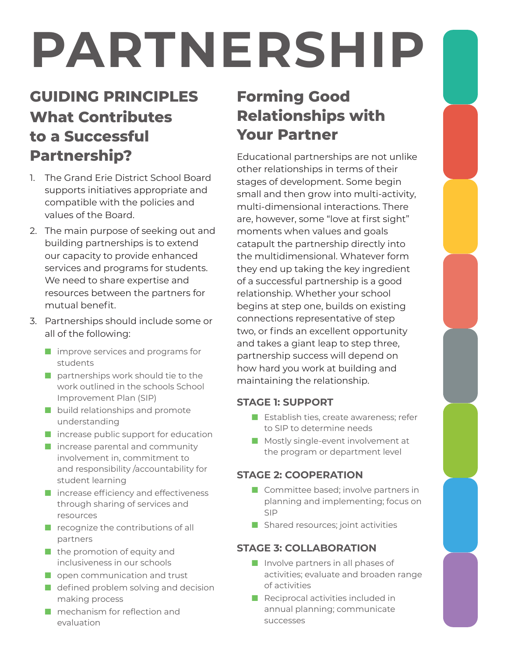# **PARTNERSHIP**

## **GUIDING PRINCIPLES What Contributes to a Successful Partnership?**

- 1. The Grand Erie District School Board supports initiatives appropriate and compatible with the policies and values of the Board.
- 2. The main purpose of seeking out and building partnerships is to extend our capacity to provide enhanced services and programs for students. We need to share expertise and resources between the partners for mutual benefit.
- 3. Partnerships should include some or all of the following:
	- improve services and programs for students
	- partnerships work should tie to the work outlined in the schools School Improvement Plan (SIP)
	- build relationships and promote understanding
	- increase public support for education
	- increase parental and community involvement in, commitment to and responsibility /accountability for student learning
	- increase efficiency and effectiveness through sharing of services and resources
	- recognize the contributions of all partners
	- the promotion of equity and inclusiveness in our schools
	- open communication and trust
	- defined problem solving and decision making process
	- mechanism for reflection and evaluation

# **Forming Good Relationships with Your Partner**

Educational partnerships are not unlike other relationships in terms of their stages of development. Some begin small and then grow into multi-activity, multi-dimensional interactions. There are, however, some "love at first sight" moments when values and goals catapult the partnership directly into the multidimensional. Whatever form they end up taking the key ingredient of a successful partnership is a good relationship. Whether your school begins at step one, builds on existing connections representative of step two, or finds an excellent opportunity and takes a giant leap to step three, partnership success will depend on how hard you work at building and maintaining the relationship.

#### **STAGE 1: SUPPORT**

- Establish ties, create awareness: refer to SIP to determine needs
- Mostly single-event involvement at the program or department level

#### **STAGE 2: COOPERATION**

- Committee based; involve partners in planning and implementing; focus on SIP
- Shared resources; joint activities

#### **STAGE 3: COLLABORATION**

- Involve partners in all phases of activities; evaluate and broaden range of activities
- Reciprocal activities included in annual planning; communicate successes